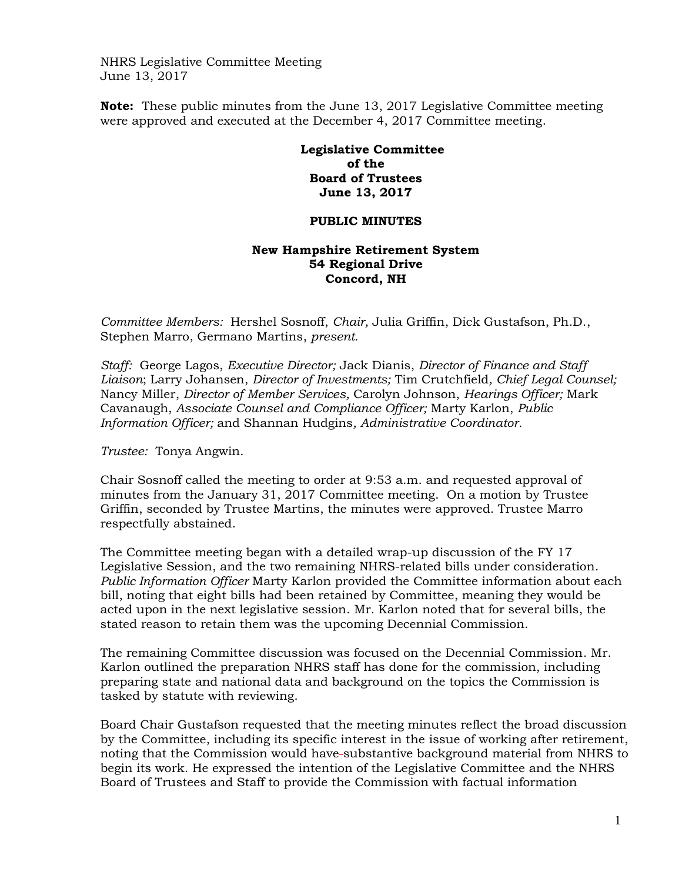NHRS Legislative Committee Meeting June 13, 2017

**Note:** These public minutes from the June 13, 2017 Legislative Committee meeting were approved and executed at the December 4, 2017 Committee meeting.

## **Legislative Committee of the Board of Trustees June 13, 2017**

## **PUBLIC MINUTES**

## **New Hampshire Retirement System 54 Regional Drive Concord, NH**

*Committee Members:* Hershel Sosnoff, *Chair,* Julia Griffin, Dick Gustafson, Ph.D., Stephen Marro, Germano Martins, *present.*

*Staff:* George Lagos, *Executive Director;* Jack Dianis, *Director of Finance and Staff Liaison*; Larry Johansen, *Director of Investments;* Tim Crutchfield*, Chief Legal Counsel;*  Nancy Miller, *Director of Member Services,* Carolyn Johnson, *Hearings Officer;* Mark Cavanaugh, *Associate Counsel and Compliance Officer;* Marty Karlon, *Public Information Officer;* and Shannan Hudgins*, Administrative Coordinator.*

*Trustee:* Tonya Angwin.

Chair Sosnoff called the meeting to order at 9:53 a.m. and requested approval of minutes from the January 31, 2017 Committee meeting. On a motion by Trustee Griffin, seconded by Trustee Martins, the minutes were approved. Trustee Marro respectfully abstained.

The Committee meeting began with a detailed wrap-up discussion of the FY 17 Legislative Session, and the two remaining NHRS-related bills under consideration. *Public Information Officer* Marty Karlon provided the Committee information about each bill, noting that eight bills had been retained by Committee, meaning they would be acted upon in the next legislative session. Mr. Karlon noted that for several bills, the stated reason to retain them was the upcoming Decennial Commission.

The remaining Committee discussion was focused on the Decennial Commission. Mr. Karlon outlined the preparation NHRS staff has done for the commission, including preparing state and national data and background on the topics the Commission is tasked by statute with reviewing.

Board Chair Gustafson requested that the meeting minutes reflect the broad discussion by the Committee, including its specific interest in the issue of working after retirement, noting that the Commission would have substantive background material from NHRS to begin its work. He expressed the intention of the Legislative Committee and the NHRS Board of Trustees and Staff to provide the Commission with factual information